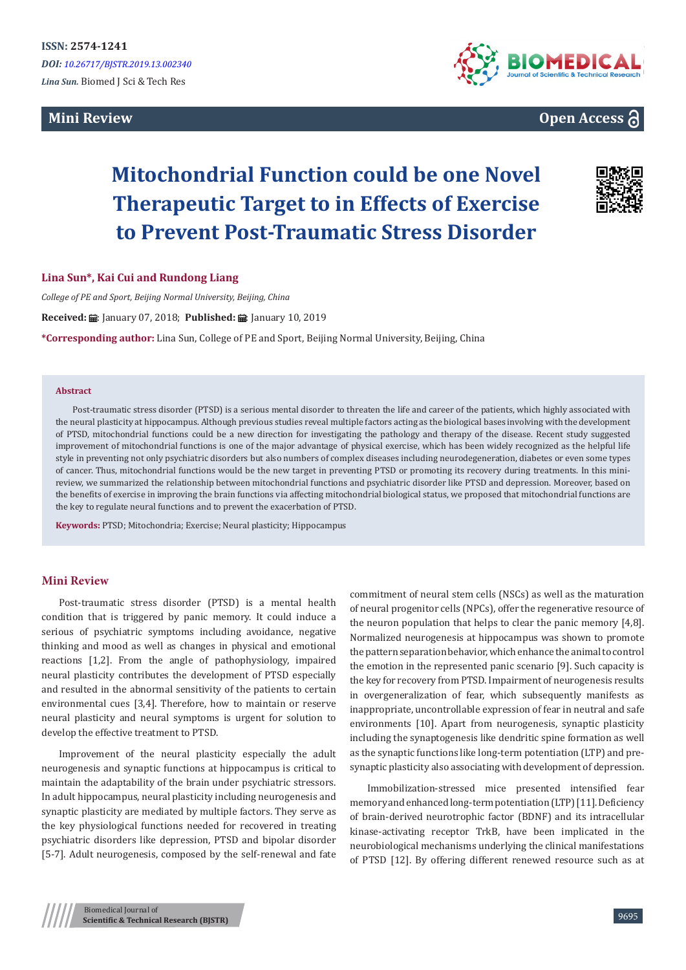# **Mini Review**



# **Open Access**

# **Mitochondrial Function could be one Novel Therapeutic Target to in Effects of Exercise to Prevent Post-Traumatic Stress Disorder**



# **Lina Sun\*, Kai Cui and Rundong Liang**

*College of PE and Sport, Beijing Normal University, Beijing, China*

Received: *:* : January 07, 2018; Published: : : January 10, 2019

**\*Corresponding author:** Lina Sun, College of PE and Sport, Beijing Normal University, Beijing, China

#### **Abstract**

Post-traumatic stress disorder (PTSD) is a serious mental disorder to threaten the life and career of the patients, which highly associated with the neural plasticity at hippocampus. Although previous studies reveal multiple factors acting as the biological bases involving with the development of PTSD, mitochondrial functions could be a new direction for investigating the pathology and therapy of the disease. Recent study suggested improvement of mitochondrial functions is one of the major advantage of physical exercise, which has been widely recognized as the helpful life style in preventing not only psychiatric disorders but also numbers of complex diseases including neurodegeneration, diabetes or even some types of cancer. Thus, mitochondrial functions would be the new target in preventing PTSD or promoting its recovery during treatments. In this minireview, we summarized the relationship between mitochondrial functions and psychiatric disorder like PTSD and depression. Moreover, based on the benefits of exercise in improving the brain functions via affecting mitochondrial biological status, we proposed that mitochondrial functions are the key to regulate neural functions and to prevent the exacerbation of PTSD.

**Keywords:** PTSD; Mitochondria; Exercise; Neural plasticity; Hippocampus

# **Mini Review**

Post-traumatic stress disorder (PTSD) is a mental health condition that is triggered by panic memory. It could induce a serious of psychiatric symptoms including avoidance, negative thinking and mood as well as changes in physical and emotional reactions [1,2]. From the angle of pathophysiology, impaired neural plasticity contributes the development of PTSD especially and resulted in the abnormal sensitivity of the patients to certain environmental cues [3,4]. Therefore, how to maintain or reserve neural plasticity and neural symptoms is urgent for solution to develop the effective treatment to PTSD.

Improvement of the neural plasticity especially the adult neurogenesis and synaptic functions at hippocampus is critical to maintain the adaptability of the brain under psychiatric stressors. In adult hippocampus, neural plasticity including neurogenesis and synaptic plasticity are mediated by multiple factors. They serve as the key physiological functions needed for recovered in treating psychiatric disorders like depression, PTSD and bipolar disorder [5-7]. Adult neurogenesis, composed by the self-renewal and fate commitment of neural stem cells (NSCs) as well as the maturation of neural progenitor cells (NPCs), offer the regenerative resource of the neuron population that helps to clear the panic memory [4,8]. Normalized neurogenesis at hippocampus was shown to promote the pattern separation behavior, which enhance the animal to control the emotion in the represented panic scenario [9]. Such capacity is the key for recovery from PTSD. Impairment of neurogenesis results in overgeneralization of fear, which subsequently manifests as inappropriate, uncontrollable expression of fear in neutral and safe environments [10]. Apart from neurogenesis, synaptic plasticity including the synaptogenesis like dendritic spine formation as well as the synaptic functions like long-term potentiation (LTP) and presynaptic plasticity also associating with development of depression.

Immobilization-stressed mice presented intensified fear memory and enhanced long-term potentiation (LTP) [11]. Deficiency of brain-derived neurotrophic factor (BDNF) and its intracellular kinase-activating receptor TrkB, have been implicated in the neurobiological mechanisms underlying the clinical manifestations of PTSD [12]. By offering different renewed resource such as at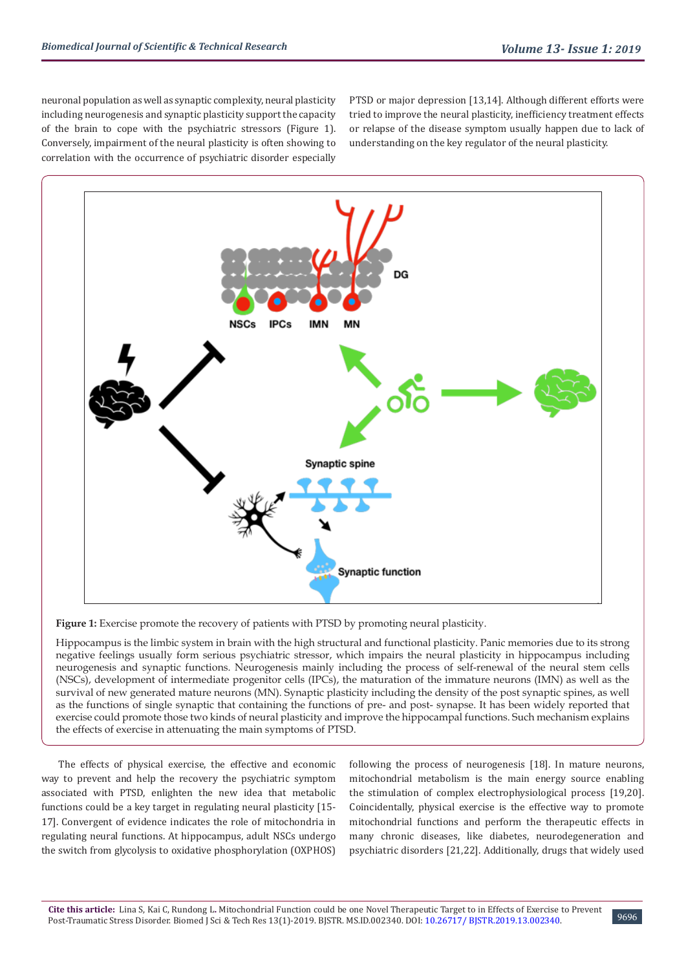neuronal population as well as synaptic complexity, neural plasticity including neurogenesis and synaptic plasticity support the capacity of the brain to cope with the psychiatric stressors (Figure 1). Conversely, impairment of the neural plasticity is often showing to correlation with the occurrence of psychiatric disorder especially

PTSD or major depression [13,14]. Although different efforts were tried to improve the neural plasticity, inefficiency treatment effects or relapse of the disease symptom usually happen due to lack of understanding on the key regulator of the neural plasticity.



Figure 1: Exercise promote the recovery of patients with PTSD by promoting neural plasticity.

Hippocampus is the limbic system in brain with the high structural and functional plasticity. Panic memories due to its strong negative feelings usually form serious psychiatric stressor, which impairs the neural plasticity in hippocampus including neurogenesis and synaptic functions. Neurogenesis mainly including the process of self-renewal of the neural stem cells (NSCs), development of intermediate progenitor cells (IPCs), the maturation of the immature neurons (IMN) as well as the survival of new generated mature neurons (MN). Synaptic plasticity including the density of the post synaptic spines, as well as the functions of single synaptic that containing the functions of pre- and post- synapse. It has been widely reported that exercise could promote those two kinds of neural plasticity and improve the hippocampal functions. Such mechanism explains the effects of exercise in attenuating the main symptoms of PTSD.

The effects of physical exercise, the effective and economic way to prevent and help the recovery the psychiatric symptom associated with PTSD, enlighten the new idea that metabolic functions could be a key target in regulating neural plasticity [15- 17]. Convergent of evidence indicates the role of mitochondria in regulating neural functions. At hippocampus, adult NSCs undergo the switch from glycolysis to oxidative phosphorylation (OXPHOS)

following the process of neurogenesis [18]. In mature neurons, mitochondrial metabolism is the main energy source enabling the stimulation of complex electrophysiological process [19,20]. Coincidentally, physical exercise is the effective way to promote mitochondrial functions and perform the therapeutic effects in many chronic diseases, like diabetes, neurodegeneration and psychiatric disorders [21,22]. Additionally, drugs that widely used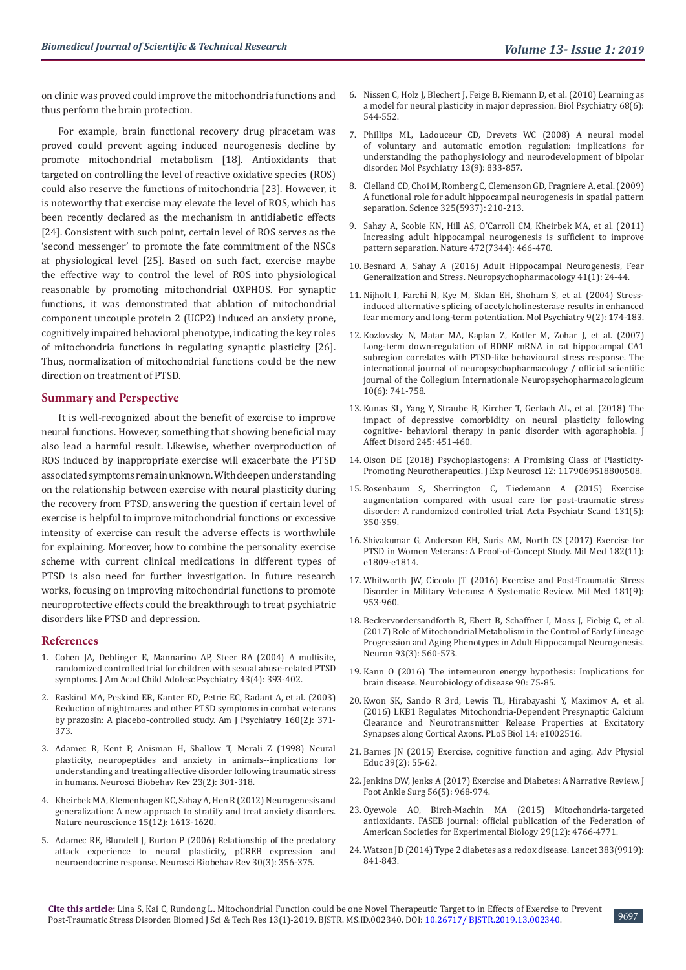on clinic was proved could improve the mitochondria functions and thus perform the brain protection.

For example, brain functional recovery drug piracetam was proved could prevent ageing induced neurogenesis decline by promote mitochondrial metabolism [18]. Antioxidants that targeted on controlling the level of reactive oxidative species (ROS) could also reserve the functions of mitochondria [23]. However, it is noteworthy that exercise may elevate the level of ROS, which has been recently declared as the mechanism in antidiabetic effects [24]. Consistent with such point, certain level of ROS serves as the 'second messenger' to promote the fate commitment of the NSCs at physiological level [25]. Based on such fact, exercise maybe the effective way to control the level of ROS into physiological reasonable by promoting mitochondrial OXPHOS. For synaptic functions, it was demonstrated that ablation of mitochondrial component uncouple protein 2 (UCP2) induced an anxiety prone, cognitively impaired behavioral phenotype, indicating the key roles of mitochondria functions in regulating synaptic plasticity [26]. Thus, normalization of mitochondrial functions could be the new direction on treatment of PTSD.

#### **Summary and Perspective**

It is well-recognized about the benefit of exercise to improve neural functions. However, something that showing beneficial may also lead a harmful result. Likewise, whether overproduction of ROS induced by inappropriate exercise will exacerbate the PTSD associated symptoms remain unknown. With deepen understanding on the relationship between exercise with neural plasticity during the recovery from PTSD, answering the question if certain level of exercise is helpful to improve mitochondrial functions or excessive intensity of exercise can result the adverse effects is worthwhile for explaining. Moreover, how to combine the personality exercise scheme with current clinical medications in different types of PTSD is also need for further investigation. In future research works, focusing on improving mitochondrial functions to promote neuroprotective effects could the breakthrough to treat psychiatric disorders like PTSD and depression.

#### **References**

- 1. [Cohen JA, Deblinger E, Mannarino AP, Steer RA \(2004\) A multisite,](https://www.ncbi.nlm.nih.gov/pmc/articles/PMC1201422/)  [randomized controlled trial for children with sexual abuse-related PTSD](https://www.ncbi.nlm.nih.gov/pmc/articles/PMC1201422/)  [symptoms. J Am Acad Child Adolesc Psychiatry 43\(4\): 393-402.](https://www.ncbi.nlm.nih.gov/pmc/articles/PMC1201422/)
- 2. [Raskind MA, Peskind ER, Kanter ED, Petrie EC, Radant A, et al. \(2003\)](https://www.ncbi.nlm.nih.gov/pubmed/12562588)  [Reduction of nightmares and other PTSD symptoms in combat veterans](https://www.ncbi.nlm.nih.gov/pubmed/12562588)  [by prazosin: A placebo-controlled study. Am J Psychiatry 160\(2\): 371-](https://www.ncbi.nlm.nih.gov/pubmed/12562588) [373.](https://www.ncbi.nlm.nih.gov/pubmed/12562588)
- 3. [Adamec R, Kent P, Anisman H, Shallow T, Merali Z \(1998\) Neural](https://www.ncbi.nlm.nih.gov/pubmed/9884124)  [plasticity, neuropeptides and anxiety in animals--implications for](https://www.ncbi.nlm.nih.gov/pubmed/9884124)  [understanding and treating affective disorder following traumatic stress](https://www.ncbi.nlm.nih.gov/pubmed/9884124)  [in humans. Neurosci Biobehav Rev 23\(2\): 301-318.](https://www.ncbi.nlm.nih.gov/pubmed/9884124)
- 4. [Kheirbek MA, Klemenhagen KC, Sahay A, Hen R \(2012\) Neurogenesis and](https://www.ncbi.nlm.nih.gov/pubmed/23187693)  [generalization: A new approach to stratify and treat anxiety disorders.](https://www.ncbi.nlm.nih.gov/pubmed/23187693)  [Nature neuroscience 15\(12\): 1613-1620.](https://www.ncbi.nlm.nih.gov/pubmed/23187693)
- 5. [Adamec RE, Blundell J, Burton P \(2006\) Relationship of the predatory](https://www.ncbi.nlm.nih.gov/pubmed/16115684)  [attack experience to neural plasticity, pCREB expression and](https://www.ncbi.nlm.nih.gov/pubmed/16115684)  [neuroendocrine response. Neurosci Biobehav Rev 30\(3\): 356-375.](https://www.ncbi.nlm.nih.gov/pubmed/16115684)
- 6. [Nissen C, Holz J, Blechert J, Feige B, Riemann D, et al. \(2010\) Learning as](https://www.ncbi.nlm.nih.gov/pubmed/20655508) [a model for neural plasticity in major depression. Biol Psychiatry 68\(6\):](https://www.ncbi.nlm.nih.gov/pubmed/20655508) [544-552.](https://www.ncbi.nlm.nih.gov/pubmed/20655508)
- 7. [Phillips ML, Ladouceur CD, Drevets WC \(2008\) A neural model](https://www.ncbi.nlm.nih.gov/pmc/articles/PMC2745893/) [of voluntary and automatic emotion regulation: implications for](https://www.ncbi.nlm.nih.gov/pmc/articles/PMC2745893/) [understanding the pathophysiology and neurodevelopment of bipolar](https://www.ncbi.nlm.nih.gov/pmc/articles/PMC2745893/) [disorder. Mol Psychiatry 13\(9\): 833-857.](https://www.ncbi.nlm.nih.gov/pmc/articles/PMC2745893/)
- 8. [Clelland CD, Choi M, Romberg C, Clemenson GD, Fragniere A, et al. \(2009\)](https://www.ncbi.nlm.nih.gov/pubmed/19590004) [A functional role for adult hippocampal neurogenesis in spatial pattern](https://www.ncbi.nlm.nih.gov/pubmed/19590004) [separation. Science 325\(5937\): 210-213.](https://www.ncbi.nlm.nih.gov/pubmed/19590004)
- 9. [Sahay A, Scobie KN, Hill AS, O'Carroll CM, Kheirbek MA, et al. \(2011\)](https://www.ncbi.nlm.nih.gov/pubmed/21460835) [Increasing adult hippocampal neurogenesis is sufficient to improve](https://www.ncbi.nlm.nih.gov/pubmed/21460835) [pattern separation. Nature 472\(7344\): 466-470.](https://www.ncbi.nlm.nih.gov/pubmed/21460835)
- 10. [Besnard A, Sahay A \(2016\) Adult Hippocampal Neurogenesis, Fear](https://www.ncbi.nlm.nih.gov/pubmed/26068726) [Generalization and Stress. Neuropsychopharmacology 41\(1\): 24-44.](https://www.ncbi.nlm.nih.gov/pubmed/26068726)
- 11. [Nijholt I, Farchi N, Kye M, Sklan EH, Shoham S, et al. \(2004\) Stress](https://www.ncbi.nlm.nih.gov/pubmed/14581933)[induced alternative splicing of acetylcholinesterase results in enhanced](https://www.ncbi.nlm.nih.gov/pubmed/14581933) [fear memory and long-term potentiation. Mol Psychiatry 9\(2\): 174-183.](https://www.ncbi.nlm.nih.gov/pubmed/14581933)
- 12. [Kozlovsky N, Matar MA, Kaplan Z, Kotler M, Zohar J, et al. \(2007\)](https://www.ncbi.nlm.nih.gov/pubmed/17291374) [Long-term down-regulation of BDNF mRNA in rat hippocampal CA1](https://www.ncbi.nlm.nih.gov/pubmed/17291374) [subregion correlates with PTSD-like behavioural stress response. The](https://www.ncbi.nlm.nih.gov/pubmed/17291374) [international journal of neuropsychopharmacology / official scientific](https://www.ncbi.nlm.nih.gov/pubmed/17291374) [journal of the Collegium Internationale Neuropsychopharmacologicum](https://www.ncbi.nlm.nih.gov/pubmed/17291374) [10\(6\): 741-758.](https://www.ncbi.nlm.nih.gov/pubmed/17291374)
- 13. [Kunas SL, Yang Y, Straube B, Kircher T, Gerlach AL, et al. \(2018\) The](https://www.ncbi.nlm.nih.gov/pubmed/30428445) [impact of depressive comorbidity on neural plasticity following](https://www.ncbi.nlm.nih.gov/pubmed/30428445) [cognitive- behavioral therapy in panic disorder with agoraphobia. J](https://www.ncbi.nlm.nih.gov/pubmed/30428445) [Affect Disord 245: 451-460.](https://www.ncbi.nlm.nih.gov/pubmed/30428445)
- 14. [Olson DE \(2018\) Psychoplastogens: A Promising Class of Plasticity-](https://www.ncbi.nlm.nih.gov/pmc/articles/PMC6149016/)[Promoting Neurotherapeutics. J Exp Neurosci 12: 1179069518800508.](https://www.ncbi.nlm.nih.gov/pmc/articles/PMC6149016/)
- 15. [Rosenbaum S, Sherrington C, Tiedemann A \(2015\) Exercise](https://www.ncbi.nlm.nih.gov/pubmed/25443996) [augmentation compared with usual care for post-traumatic stress](https://www.ncbi.nlm.nih.gov/pubmed/25443996) [disorder: A randomized controlled trial. Acta Psychiatr Scand 131\(5\):](https://www.ncbi.nlm.nih.gov/pubmed/25443996) [350-359.](https://www.ncbi.nlm.nih.gov/pubmed/25443996)
- 16. [Shivakumar G, Anderson EH, Suris AM, North CS \(2017\) Exercise for](https://www.ncbi.nlm.nih.gov/pubmed/29087845) [PTSD in Women Veterans: A Proof-of-Concept Study. Mil Med 182\(11\):](https://www.ncbi.nlm.nih.gov/pubmed/29087845) [e1809-e1814.](https://www.ncbi.nlm.nih.gov/pubmed/29087845)
- 17. [Whitworth JW, Ciccolo JT \(2016\) Exercise and Post-Traumatic Stress](https://www.ncbi.nlm.nih.gov/pubmed/27612337) [Disorder in Military Veterans: A Systematic Review. Mil Med 181\(9\):](https://www.ncbi.nlm.nih.gov/pubmed/27612337) [953-960.](https://www.ncbi.nlm.nih.gov/pubmed/27612337)
- 18. [Beckervordersandforth R, Ebert B, Schaffner I, Moss J, Fiebig C, et al.](https://www.ncbi.nlm.nih.gov/pubmed/28111078) [\(2017\) Role of Mitochondrial Metabolism in the Control of Early Lineage](https://www.ncbi.nlm.nih.gov/pubmed/28111078) [Progression and Aging Phenotypes in Adult Hippocampal Neurogenesis.](https://www.ncbi.nlm.nih.gov/pubmed/28111078) [Neuron 93\(3\): 560-573.](https://www.ncbi.nlm.nih.gov/pubmed/28111078)
- 19. [Kann O \(2016\) The interneuron energy hypothesis: Implications for](https://www.ncbi.nlm.nih.gov/pubmed/26284893) [brain disease. Neurobiology of disease 90: 75-85.](https://www.ncbi.nlm.nih.gov/pubmed/26284893)
- 20. [Kwon SK, Sando R 3rd, Lewis TL, Hirabayashi Y, Maximov A, et al.](https://journals.plos.org/plosbiology/article?id=10.1371/journal.pbio.1002516) [\(2016\) LKB1 Regulates Mitochondria-Dependent Presynaptic Calcium](https://journals.plos.org/plosbiology/article?id=10.1371/journal.pbio.1002516) [Clearance and Neurotransmitter Release Properties at Excitatory](https://journals.plos.org/plosbiology/article?id=10.1371/journal.pbio.1002516) [Synapses along Cortical Axons. PLoS Biol 14: e1002516.](https://journals.plos.org/plosbiology/article?id=10.1371/journal.pbio.1002516)
- 21. [Barnes JN \(2015\) Exercise, cognitive function and aging. Adv Physiol](https://www.ncbi.nlm.nih.gov/pmc/articles/PMC4587595/) [Educ 39\(2\): 55-62.](https://www.ncbi.nlm.nih.gov/pmc/articles/PMC4587595/)
- 22. [Jenkins DW, Jenks A \(2017\) Exercise and Diabetes: A Narrative Review. J](https://www.ncbi.nlm.nih.gov/pubmed/28842107) [Foot Ankle Surg 56\(5\): 968-974.](https://www.ncbi.nlm.nih.gov/pubmed/28842107)
- 23. [Oyewole AO, Birch-Machin MA \(2015\) Mitochondria-targeted](https://www.ncbi.nlm.nih.gov/pubmed/26253366) [antioxidants. FASEB journal: official publication of the Federation of](https://www.ncbi.nlm.nih.gov/pubmed/26253366) [American Societies for Experimental Biology 29\(12\): 4766-4771.](https://www.ncbi.nlm.nih.gov/pubmed/26253366)
- 24. [Watson JD \(2014\) Type 2 diabetes as a redox disease. Lancet 383\(9919\):](https://www.ncbi.nlm.nih.gov/pubmed/24581668) [841-843.](https://www.ncbi.nlm.nih.gov/pubmed/24581668)